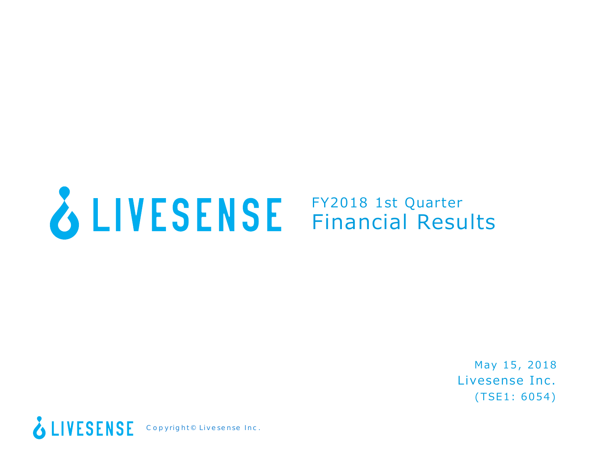

## FY2018 1st Quarter Financial Results

Livesense Inc. (TSE1: 6054) May 15, 2018

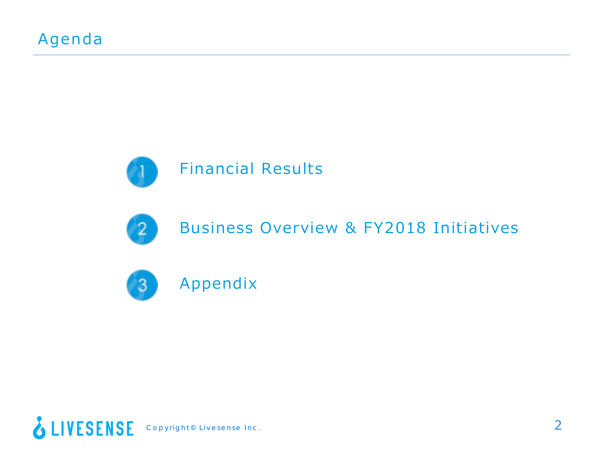



## Business Overview & FY2018 Initiatives



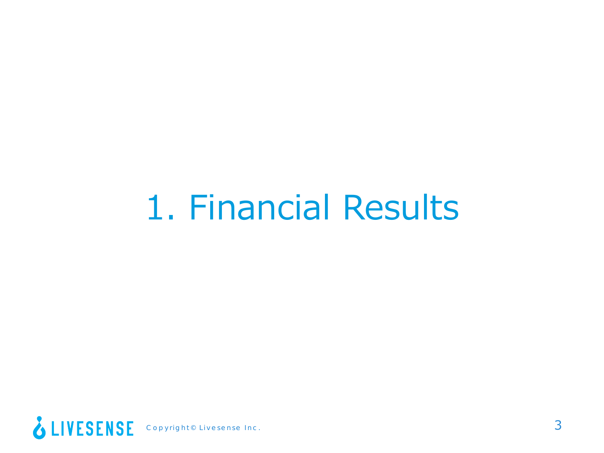## 1. Financial Results

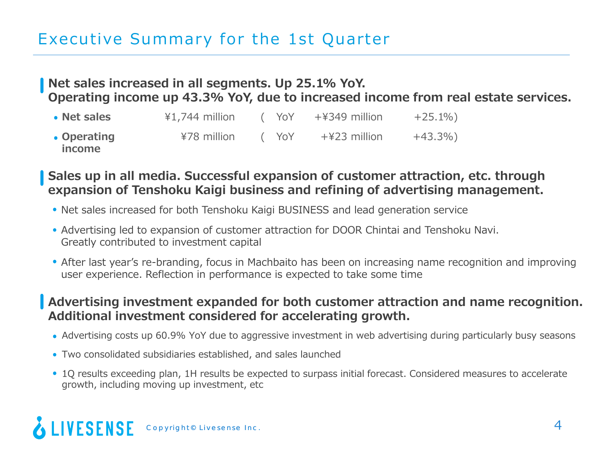### Executive Summary for the 1st Quarter

#### **Net sales increased in all segments. Up 25.1% YoY. Operating income up 43.3% YoY, due to increased income from real estate services.**

| • Net sales           | $41,744$ million | (YoY | +¥349 million | $+25.1\%$ |
|-----------------------|------------------|------|---------------|-----------|
| • Operating<br>income | ¥78 million      | (YoY | +¥23 million  | $+43.3\%$ |

**Sales up in all media. Successful expansion of customer attraction, etc. through expansion of Tenshoku Kaigi business and refining of advertising management.**

- Net sales increased for both Tenshoku Kaigi BUSINESS and lead generation service
- Advertising led to expansion of customer attraction for DOOR Chintai and Tenshoku Navi. Greatly contributed to investment capital
- After last year's re-branding, focus in Machbaito has been on increasing name recognition and improving user experience. Reflection in performance is expected to take some time

#### **Advertising investment expanded for both customer attraction and name recognition. Additional investment considered for accelerating growth.**

- Advertising costs up 60.9% YoY due to aggressive investment in web advertising during particularly busy seasons
- Two consolidated subsidiaries established, and sales launched
- 1Q results exceeding plan, 1H results be expected to surpass initial forecast. Considered measures to accelerate growth, including moving up investment, etc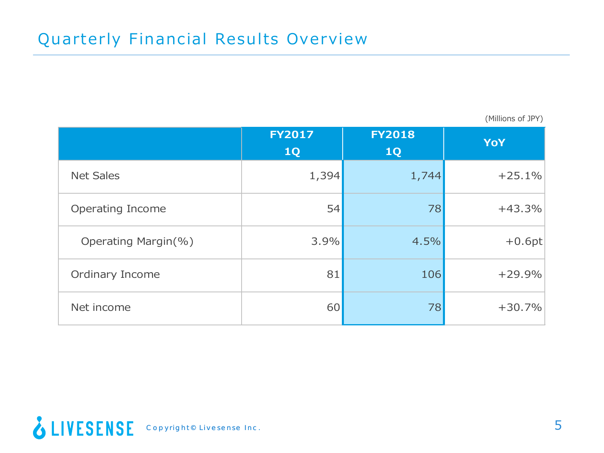(Millions of JPY)

|                     | <b>FY2017</b><br>1Q | <b>FY2018</b><br><b>1Q</b> | <b>YoY</b> |
|---------------------|---------------------|----------------------------|------------|
| <b>Net Sales</b>    | 1,394               | 1,744                      | $+25.1%$   |
| Operating Income    | 54                  | 78                         | $+43.3%$   |
| Operating Margin(%) | 3.9%                | 4.5%                       | $+0.6pt$   |
| Ordinary Income     | 81                  | 106                        | $+29.9%$   |
| Net income          | 60                  | 78                         | $+30.7%$   |

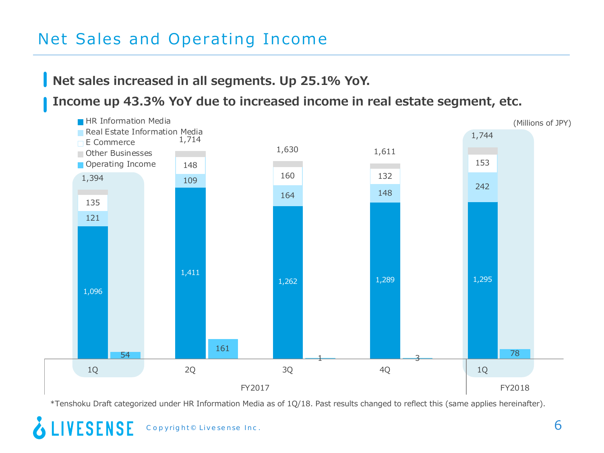### Net Sales and Operating Income

**Net sales increased in all segments. Up 25.1% YoY.**

**Income up 43.3% YoY due to increased income in real estate segment, etc.**



\*Tenshoku Draft categorized under HR Information Media as of 1Q/18. Past results changed to reflect this (same applies hereinafter).

**LIVESENSE**  $\mathsf{Copyright}{}^\circ$  Livesense Inc.  $\mathsf{6}$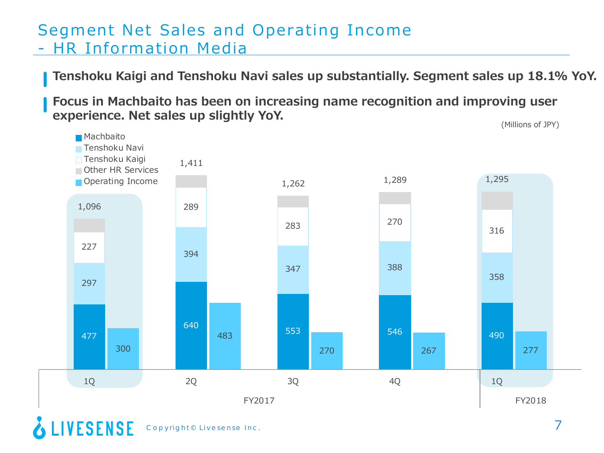#### Segment Net Sales and Operating Income - HR Information Media

**Tenshoku Kaigi and Tenshoku Navi sales up substantially. Segment sales up 18.1% YoY.**

**Focus in Machbaito has been on increasing name recognition and improving user experience. Net sales up slightly YoY. Experience. Net sales up slightly YoY.** (Millions of JPY)



 $\mathsf{Copyright} @\mathsf{Livesense\ Inc.}$ 

**LIVESENSE**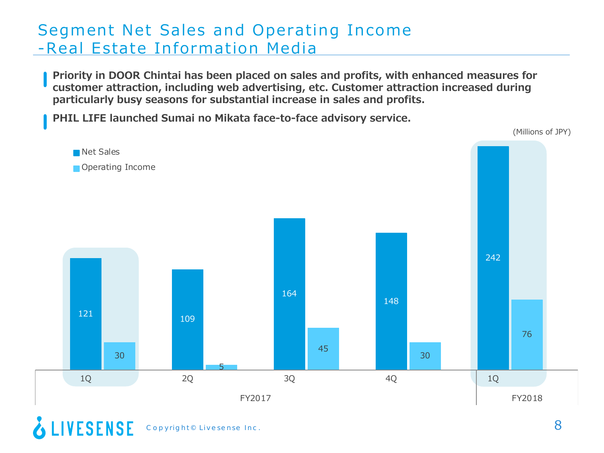#### Segment Net Sales and Operating Income -Real Estate Information Media

**Priority in DOOR Chintai has been placed on sales and profits, with enhanced measures for customer attraction, including web advertising, etc. Customer attraction increased during particularly busy seasons for substantial increase in sales and profits.**

**PHIL LIFE launched Sumai no Mikata face-to-face advisory service.**

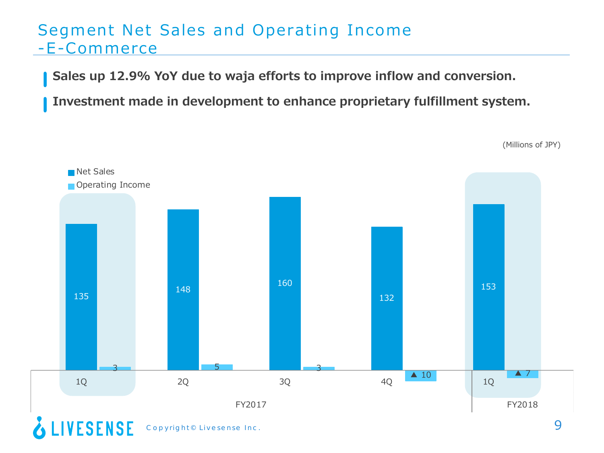#### Segment Net Sales and Operating Income -E-Commerce

**Sales up 12.9% YoY due to waja efforts to improve inflow and conversion.**

**Investment made in development to enhance proprietary fulfillment system.**

(Millions of JPY)



Copyright© Livesense Inc. 9

**& LIVESENSE**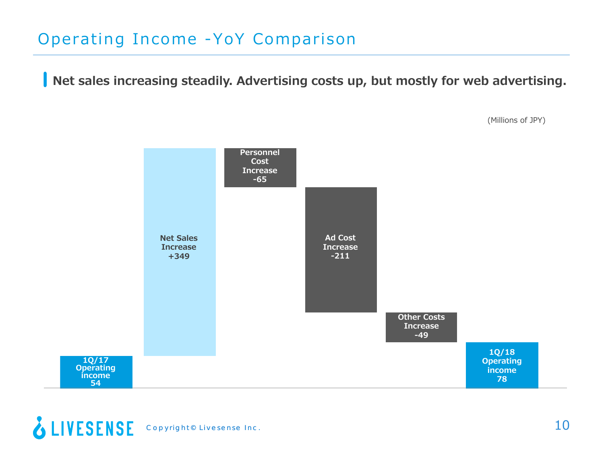### Operating Income -YoY Comparison

**Net sales increasing steadily. Advertising costs up, but mostly for web advertising.**

**1Q/17 Operating income 54 Net Sales Increase +349 Personnel Cost Increase -65 Ad Cost Increase -211 Other Costs Increase -49 1Q/18 Operating income 78**



(Millions of JPY)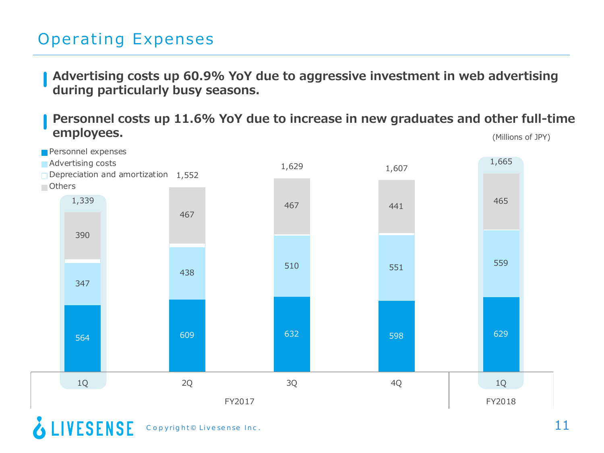### Operating Expenses

**Advertising costs up 60.9% YoY due to aggressive investment in web advertising during particularly busy seasons.**

**Personnel costs up 11.6% YoY due to increase in new graduates and other full-time employees.** (Millions of JPY)



**& LIVESENSE**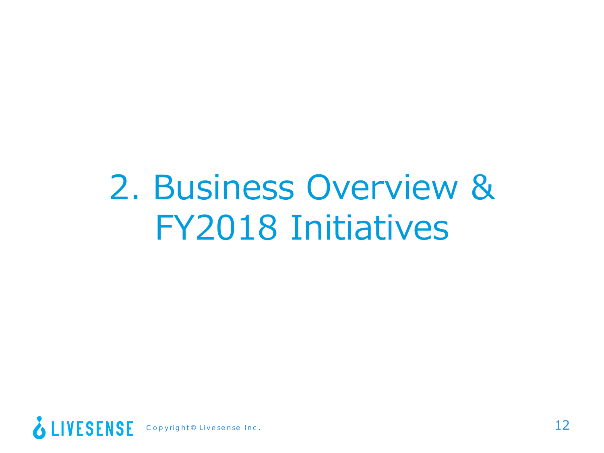## 2. Business Overview & FY2018 Initiatives

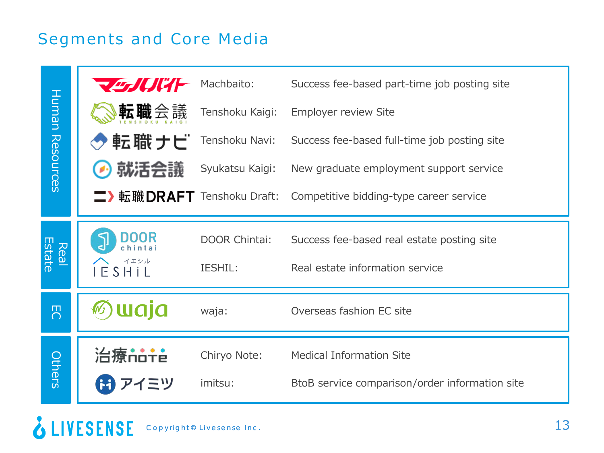#### Segments and Core Media

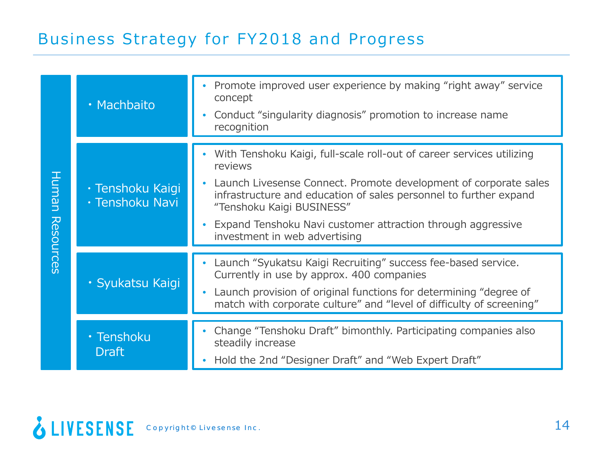#### Business Strategy for FY2018 and Progress

|                    | · Machbaito                         | Promote improved user experience by making "right away" service<br>concept<br>Conduct "singularity diagnosis" promotion to increase name<br>$\bullet$<br>recognition                                                                                                |
|--------------------|-------------------------------------|---------------------------------------------------------------------------------------------------------------------------------------------------------------------------------------------------------------------------------------------------------------------|
|                    |                                     |                                                                                                                                                                                                                                                                     |
| Human<br>Resources | · Tenshoku Kaigi<br>· Tenshoku Navi | With Tenshoku Kaigi, full-scale roll-out of career services utilizing<br>$\bullet$<br>reviews<br>Launch Livesense Connect. Promote development of corporate sales<br>infrastructure and education of sales personnel to further expand<br>"Tenshoku Kaigi BUSINESS" |
|                    |                                     | Expand Tenshoku Navi customer attraction through aggressive<br>investment in web advertising                                                                                                                                                                        |
|                    |                                     |                                                                                                                                                                                                                                                                     |
|                    | · Syukatsu Kaigi                    | Launch "Syukatsu Kaigi Recruiting" success fee-based service.<br>Currently in use by approx. 400 companies<br>Launch provision of original functions for determining "degree of<br>match with corporate culture" and "level of difficulty of screening"             |
|                    |                                     |                                                                                                                                                                                                                                                                     |
|                    | · Tenshoku<br><b>Draft</b>          | Change "Tenshoku Draft" bimonthly. Participating companies also<br>steadily increase<br>Hold the 2nd "Designer Draft" and "Web Expert Draft"                                                                                                                        |
|                    |                                     |                                                                                                                                                                                                                                                                     |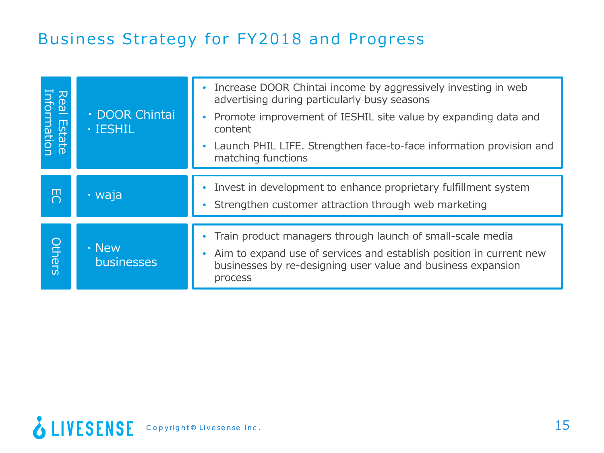## Business Strategy for FY2018 and Progress

| <b>Real Estate</b><br>Information | · DOOR Chintai<br>$\cdot$ IESHIL | Increase DOOR Chintai income by aggressively investing in web<br>advertising during particularly busy seasons<br>Promote improvement of IESHIL site value by expanding data and<br>$\bullet$<br>content<br>Launch PHIL LIFE. Strengthen face-to-face information provision and<br>matching functions |
|-----------------------------------|----------------------------------|------------------------------------------------------------------------------------------------------------------------------------------------------------------------------------------------------------------------------------------------------------------------------------------------------|
| ш<br>∩                            | $\cdot$ waja                     | Invest in development to enhance proprietary fulfillment system<br>Strengthen customer attraction through web marketing                                                                                                                                                                              |
| <b>Others</b>                     | $\cdot$ New<br>businesses        | Train product managers through launch of small-scale media<br>Aim to expand use of services and establish position in current new<br>businesses by re-designing user value and business expansion<br>process                                                                                         |

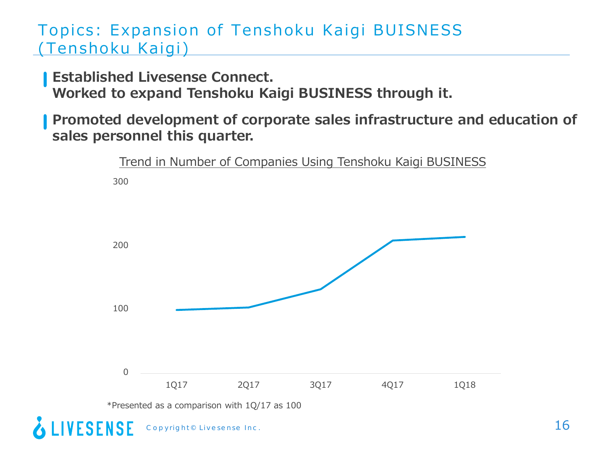#### Topics: Expansion of Tenshoku Kaigi BUISNESS (Tenshoku Kaigi)

**Established Livesense Connect.** 

**Worked to expand Tenshoku Kaigi BUSINESS through it.**

**Promoted development of corporate sales infrastructure and education of sales personnel this quarter.**

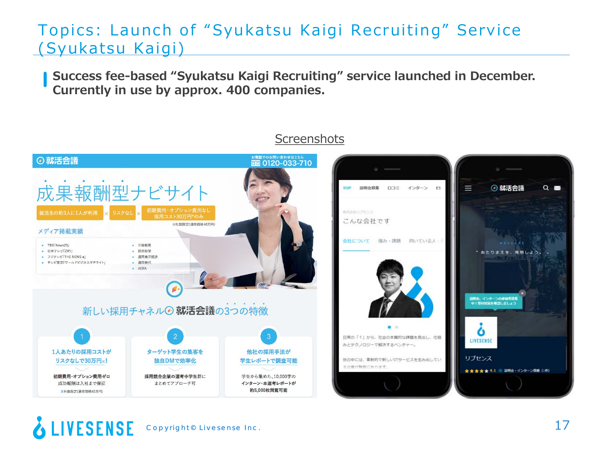#### Topics: Launch of "Syukatsu Kaigi Recruiting" Service (Syukatsu Kaigi)

**Success fee-based "Syukatsu Kaigi Recruiting" service launched in December. Currently in use by approx. 400 companies.**



#### **Screenshots**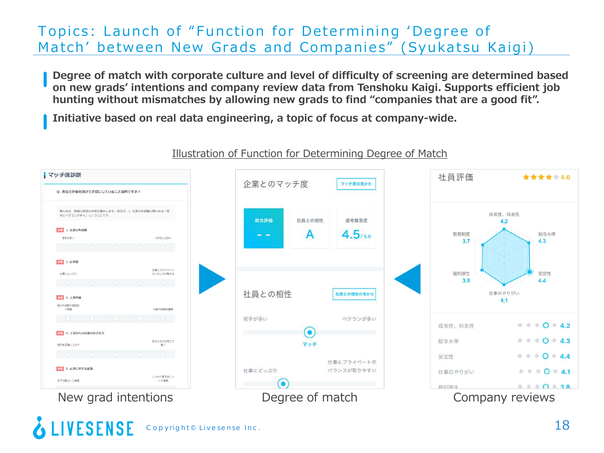#### Topics: Launch of "Function for Determining 'Degree of Match' between New Grads and Companies" (Syukatsu Kaigi)

**Degree of match with corporate culture and level of difficulty of screening are determined based on new grads' intentions and company review data from Tenshoku Kaigi. Supports efficient job hunting without mismatches by allowing new grads to find "companies that are a good fit".**

**Initiative based on real data engineering, a topic of focus at company-wide.**



#### Illustration of Function for Determining Degree of Match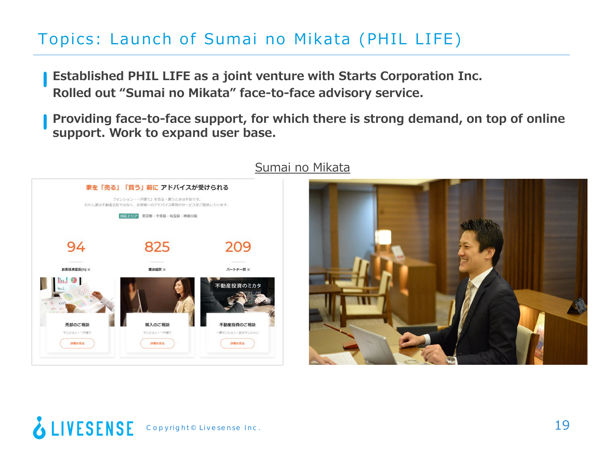## Topics: Launch of Sumai no Mikata (PHIL LIFE)

**Established PHIL LIFE as a joint venture with Starts Corporation Inc. Rolled out "Sumai no Mikata" face-to-face advisory service.**

**Providing face-to-face support, for which there is strong demand, on top of online support. Work to expand user base.**



#### Sumai no Mikata

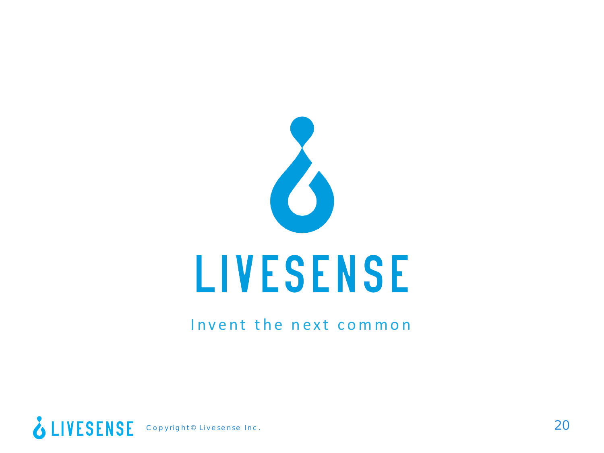

#### Invent the next common

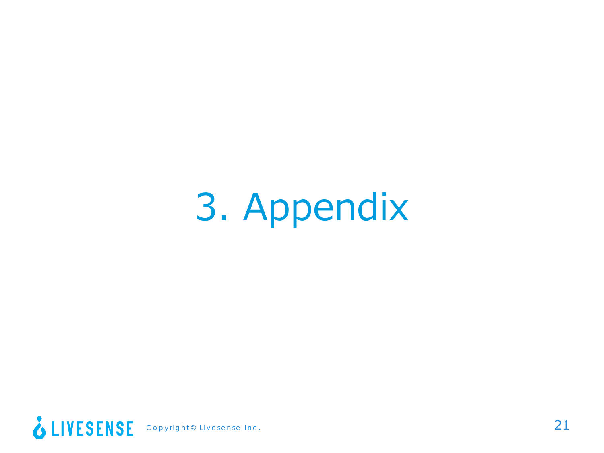## 3. Appendix

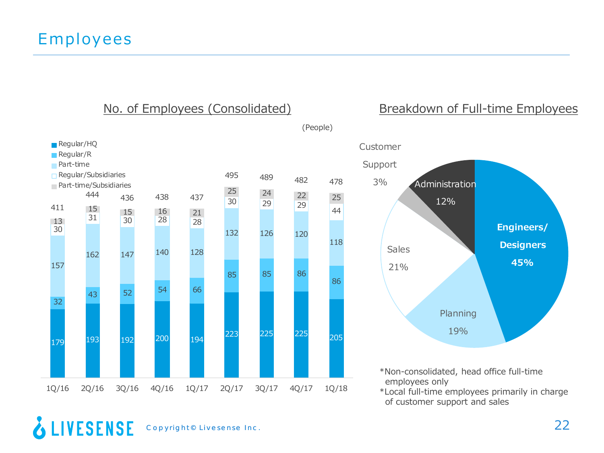

#### No. of Employees (Consolidated) Breakdown of Full-time Employees



\*Non-consolidated, head office full-time employees only

\*Local full-time employees primarily in charge of customer support and sales

#### & LIVESENSE Copyright© Livesense Inc. 22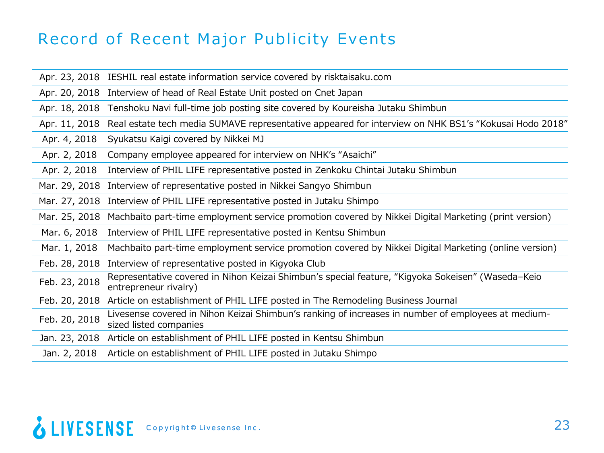### Record of Recent Major Publicity Events

Apr. 23, 2018 IESHIL real estate information service covered by risktaisaku.com

Apr. 20, 2018 Interview of head of Real Estate Unit posted on Cnet Japan

Apr. 18, 2018 Tenshoku Navi full-time job posting site covered by Koureisha Jutaku Shimbun

Apr. 11, 2018 Real estate tech media SUMAVE representative appeared for interview on NHK BS1's "Kokusai Hodo 2018"

Apr. 4, 2018 Syukatsu Kaigi covered by Nikkei MJ

Apr. 2, 2018 Company employee appeared for interview on NHK's "Asaichi"

Apr. 2, 2018 Interview of PHIL LIFE representative posted in Zenkoku Chintai Jutaku Shimbun

Mar. 29, 2018 Interview of representative posted in Nikkei Sangyo Shimbun

Mar. 27, 2018 Interview of PHIL LIFE representative posted in Jutaku Shimpo

Mar. 25, 2018 Machbaito part-time employment service promotion covered by Nikkei Digital Marketing (print version)

Mar. 6, 2018 Interview of PHIL LIFE representative posted in Kentsu Shimbun

Mar. 1, 2018 Machbaito part-time employment service promotion covered by Nikkei Digital Marketing (online version)

- Feb. 28, 2018 Interview of representative posted in Kigyoka Club
- Feb. 23, 2018 Representative covered in Nihon Keizai Shimbun's special feature, "Kigyoka Sokeisen" (Waseda–Keio entrepreneur rivalry)
- Feb. 20, 2018 Article on establishment of PHIL LIFE posted in The Remodeling Business Journal

Feb. 20, 2018 Livesense covered in Nihon Keizai Shimbun's ranking of increases in number of employees at mediumsized listed companies

Jan. 23, 2018 Article on establishment of PHIL LIFE posted in Kentsu Shimbun

Jan. 2, 2018 Article on establishment of PHIL LIFE posted in Jutaku Shimpo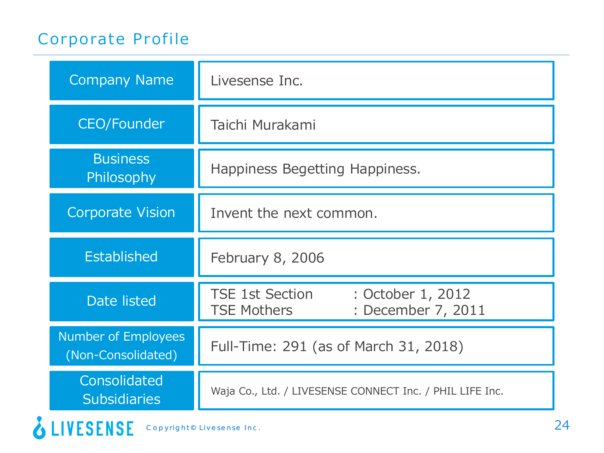### Corporate Profile

| <b>Company Name</b>                       | Livesense Inc.                                                                          |
|-------------------------------------------|-----------------------------------------------------------------------------------------|
| <b>CEO/Founder</b>                        | Taichi Murakami                                                                         |
| <b>Business</b><br>Philosophy             | Happiness Begetting Happiness.                                                          |
| <b>Corporate Vision</b>                   | Invent the next common.                                                                 |
| <b>Established</b>                        | February 8, 2006                                                                        |
| <b>Date listed</b>                        | <b>TSE 1st Section</b><br>: October 1, 2012<br>: December 7, 2011<br><b>TSE Mothers</b> |
| Number of Employees<br>(Non-Consolidated) | Full-Time: 291 (as of March 31, 2018)                                                   |
| Consolidated<br><b>Subsidiaries</b>       | Waja Co., Ltd. / LIVESENSE CONNECT Inc. / PHIL LIFE Inc.                                |